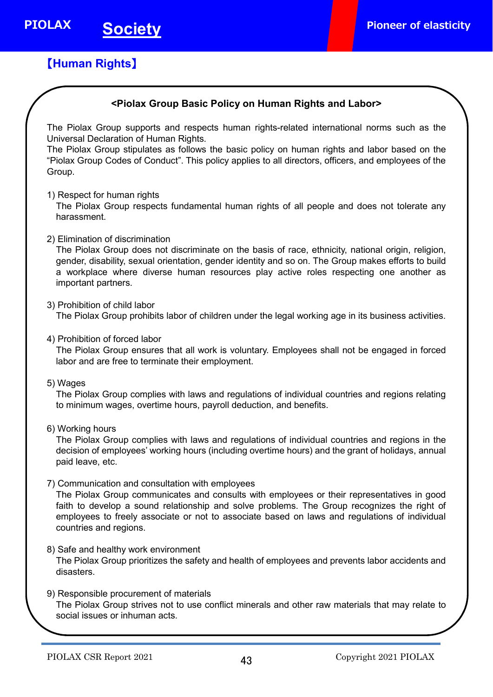# 【**Human Rights**】

 $\overline{\phantom{a}}$ 

## **<Piolax Group Basic Policy on Human Rights and Labor>**

The Piolax Group supports and respects human rights-related international norms such as the Universal Declaration of Human Rights.

The Piolax Group stipulates as follows the basic policy on human rights and labor based on the "Piolax Group Codes of Conduct". This policy applies to all directors, officers, and employees of the Group.

1) Respect for human rights

The Piolax Group respects fundamental human rights of all people and does not tolerate any harassment.

2) Elimination of discrimination

The Piolax Group does not discriminate on the basis of race, ethnicity, national origin, religion, gender, disability, sexual orientation, gender identity and so on. The Group makes efforts to build a workplace where diverse human resources play active roles respecting one another as important partners.

3) Prohibition of child labor

The Piolax Group prohibits labor of children under the legal working age in its business activities.

4) Prohibition of forced labor

The Piolax Group ensures that all work is voluntary. Employees shall not be engaged in forced labor and are free to terminate their employment.

5) Wages

The Piolax Group complies with laws and regulations of individual countries and regions relating to minimum wages, overtime hours, payroll deduction, and benefits.

6) Working hours

The Piolax Group complies with laws and regulations of individual countries and regions in the decision of employees' working hours (including overtime hours) and the grant of holidays, annual paid leave, etc.

7) Communication and consultation with employees

The Piolax Group communicates and consults with employees or their representatives in good faith to develop a sound relationship and solve problems. The Group recognizes the right of employees to freely associate or not to associate based on laws and regulations of individual countries and regions.

- 8) Safe and healthy work environment The Piolax Group prioritizes the safety and health of employees and prevents labor accidents and disasters.
- 9) Responsible procurement of materials The Piolax Group strives not to use conflict minerals and other raw materials that may relate to social issues or inhuman acts.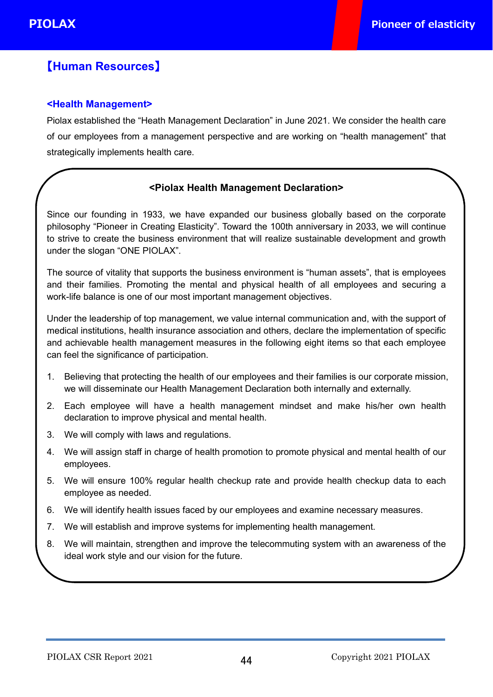# 【**Human Resources**】

## **<Health Management>**

Piolax established the "Heath Management Declaration" in June 2021. We consider the health care of our employees from a management perspective and are working on "health management" that strategically implements health care.

## **<Piolax Health Management Declaration>**

Since our founding in 1933, we have expanded our business globally based on the corporate philosophy "Pioneer in Creating Elasticity". Toward the 100th anniversary in 2033, we will continue to strive to create the business environment that will realize sustainable development and growth under the slogan "ONE PIOLAX".

The source of vitality that supports the business environment is "human assets", that is employees and their families. Promoting the mental and physical health of all employees and securing a work-life balance is one of our most important management objectives.

Under the leadership of top management, we value internal communication and, with the support of medical institutions, health insurance association and others, declare the implementation of specific and achievable health management measures in the following eight items so that each employee can feel the significance of participation.

- 1. Believing that protecting the health of our employees and their families is our corporate mission, we will disseminate our Health Management Declaration both internally and externally.
- 2. Each employee will have a health management mindset and make his/her own health declaration to improve physical and mental health.
- 3. We will comply with laws and regulations.
- 4. We will assign staff in charge of health promotion to promote physical and mental health of our employees.
- 5. We will ensure 100% regular health checkup rate and provide health checkup data to each employee as needed.
- 6. We will identify health issues faced by our employees and examine necessary measures.
- 7. We will establish and improve systems for implementing health management.
- 8. We will maintain, strengthen and improve the telecommuting system with an awareness of the ideal work style and our vision for the future.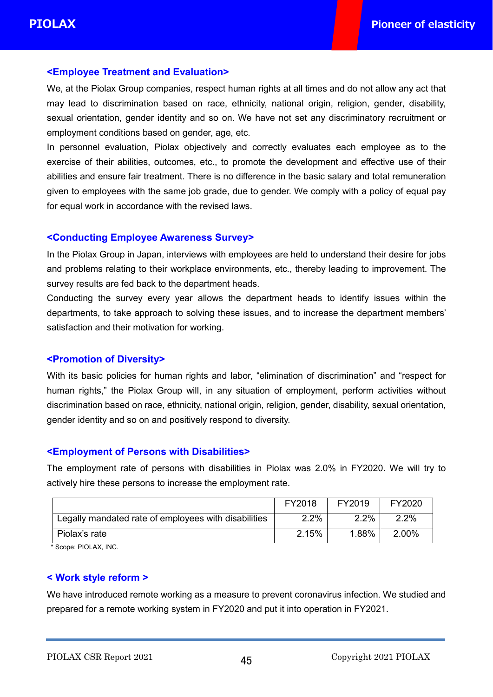Ĩ

## **<Employee Treatment and Evaluation>**

We, at the Piolax Group companies, respect human rights at all times and do not allow any act that may lead to discrimination based on race, ethnicity, national origin, religion, gender, disability, sexual orientation, gender identity and so on. We have not set any discriminatory recruitment or employment conditions based on gender, age, etc.

In personnel evaluation, Piolax objectively and correctly evaluates each employee as to the exercise of their abilities, outcomes, etc., to promote the development and effective use of their abilities and ensure fair treatment. There is no difference in the basic salary and total remuneration given to employees with the same job grade, due to gender. We comply with a policy of equal pay for equal work in accordance with the revised laws.

### **<Conducting Employee Awareness Survey>**

In the Piolax Group in Japan, interviews with employees are held to understand their desire for jobs and problems relating to their workplace environments, etc., thereby leading to improvement. The survey results are fed back to the department heads.

Conducting the survey every year allows the department heads to identify issues within the departments, to take approach to solving these issues, and to increase the department members' satisfaction and their motivation for working.

## **<Promotion of Diversity>**

With its basic policies for human rights and labor, "elimination of discrimination" and "respect for human rights," the Piolax Group will, in any situation of employment, perform activities without discrimination based on race, ethnicity, national origin, religion, gender, disability, sexual orientation, gender identity and so on and positively respond to diversity.

## **<Employment of Persons with Disabilities>**

The employment rate of persons with disabilities in Piolax was 2.0% in FY2020. We will try to actively hire these persons to increase the employment rate.

|                                                      | FY2018 | FY2019 | FY2020 |
|------------------------------------------------------|--------|--------|--------|
| Legally mandated rate of employees with disabilities | 2.2%   | 2.2%   | 2.2%   |
| Piolax's rate                                        | 2.15%  | 1.88%  | 2.00%  |

Scope: PIOLAX, INC.

### **< Work style reform >**

We have introduced remote working as a measure to prevent coronavirus infection. We studied and prepared for a remote working system in FY2020 and put it into operation in FY2021.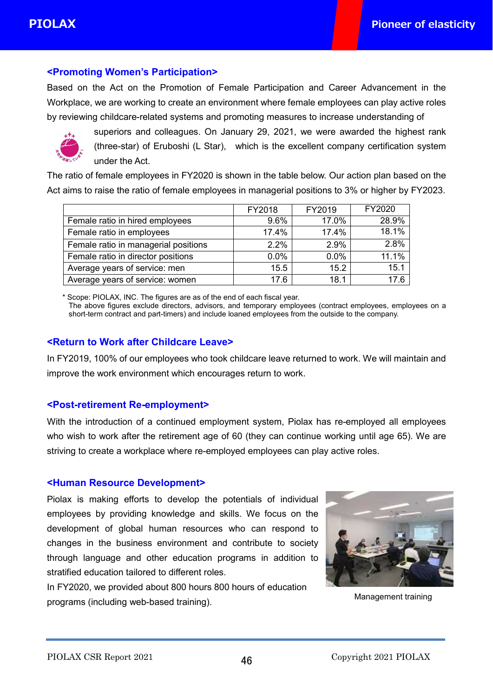in 1999.<br>Prima politica de la provincia de la provincia de la provincia de la provincia de la provincia de la provincia<br>Prima politica de la provincia de la provincia de la provincia de la provincia de la provincia de la p

## **<Promoting Women's Participation>**

Based on the Act on the Promotion of Female Participation and Career Advancement in the Workplace, we are working to create an environment where female employees can play active roles by reviewing childcare-related systems and promoting measures to increase understanding of



superiors and colleagues. On January 29, 2021, we were awarded the highest rank (three-star) of Eruboshi (L Star), which is the excellent company certification system under the Act.

The ratio of female employees in FY2020 is shown in the table below. Our action plan based on the Act aims to raise the ratio of female employees in managerial positions to 3% or higher by FY2023.

|                                      | FY2018 | FY2019 | FY2020 |
|--------------------------------------|--------|--------|--------|
| Female ratio in hired employees      | 9.6%   | 17.0%  | 28.9%  |
| Female ratio in employees            | 17.4%  | 17.4%  | 18.1%  |
| Female ratio in managerial positions | 2.2%   | 2.9%   | 2.8%   |
| Female ratio in director positions   | 0.0%   | 0.0%   | 11.1%  |
| Average years of service: men        | 15.5   | 15.2   | 15.1   |
| Average years of service: women      | 17.6   | 18.1   |        |

\* Scope: PIOLAX, INC. The figures are as of the end of each fiscal year.

The above figures exclude directors, advisors, and temporary employees (contract employees, employees on a short-term contract and part-timers) and include loaned employees from the outside to the company.

## **<Return to Work after Childcare Leave>**

In FY2019, 100% of our employees who took childcare leave returned to work. We will maintain and improve the work environment which encourages return to work.

### **<Post-retirement Re-employment>**

With the introduction of a continued employment system, Piolax has re-employed all employees who wish to work after the retirement age of 60 (they can continue working until age 65). We are striving to create a workplace where re-employed employees can play active roles.

## **<Human Resource Development>**

Piolax is making efforts to develop the potentials of individual employees by providing knowledge and skills. We focus on the development of global human resources who can respond to changes in the business environment and contribute to society through language and other education programs in addition to stratified education tailored to different roles.

In FY2020, we provided about 800 hours 800 hours of education programs (including web-based training).



Management training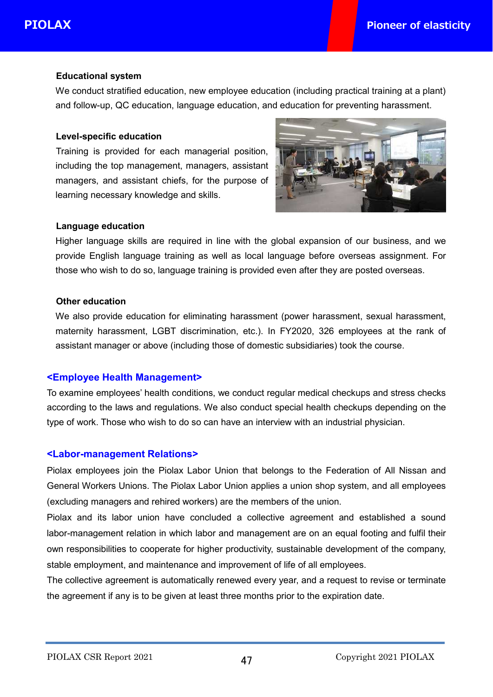### **Educational system**

We conduct stratified education, new employee education (including practical training at a plant) and follow-up, QC education, language education, and education for preventing harassment.

#### **Level-specific education**

Training is provided for each managerial position, including the top management, managers, assistant managers, and assistant chiefs, for the purpose of learning necessary knowledge and skills.



#### **Language education**

Higher language skills are required in line with the global expansion of our business, and we provide English language training as well as local language before overseas assignment. For those who wish to do so, language training is provided even after they are posted overseas.

#### **Other education**

We also provide education for eliminating harassment (power harassment, sexual harassment, maternity harassment, LGBT discrimination, etc.). In FY2020, 326 employees at the rank of assistant manager or above (including those of domestic subsidiaries) took the course.

### **<Employee Health Management>**

To examine employees' health conditions, we conduct regular medical checkups and stress checks according to the laws and regulations. We also conduct special health checkups depending on the type of work. Those who wish to do so can have an interview with an industrial physician.

### **<Labor-management Relations>**

Piolax employees join the Piolax Labor Union that belongs to the Federation of All Nissan and General Workers Unions. The Piolax Labor Union applies a union shop system, and all employees (excluding managers and rehired workers) are the members of the union.

Piolax and its labor union have concluded a collective agreement and established a sound labor-management relation in which labor and management are on an equal footing and fulfil their own responsibilities to cooperate for higher productivity, sustainable development of the company, stable employment, and maintenance and improvement of life of all employees.

The collective agreement is automatically renewed every year, and a request to revise or terminate the agreement if any is to be given at least three months prior to the expiration date.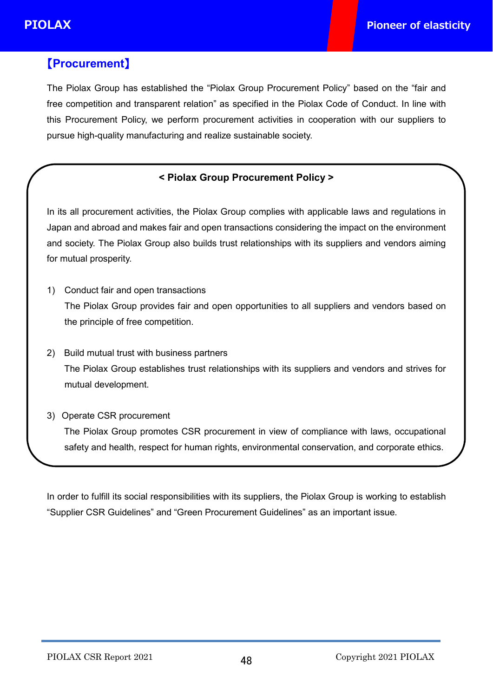.

# 【**Procurement**】

The Piolax Group has established the "Piolax Group Procurement Policy" based on the "fair and free competition and transparent relation" as specified in the Piolax Code of Conduct. In line with this Procurement Policy, we perform procurement activities in cooperation with our suppliers to pursue high-quality manufacturing and realize sustainable society.

## **< Piolax Group Procurement Policy >**

In its all procurement activities, the Piolax Group complies with applicable laws and regulations in Japan and abroad and makes fair and open transactions considering the impact on the environment and society. The Piolax Group also builds trust relationships with its suppliers and vendors aiming for mutual prosperity.

- 1) Conduct fair and open transactions The Piolax Group provides fair and open opportunities to all suppliers and vendors based on the principle of free competition.
- 2) Build mutual trust with business partners The Piolax Group establishes trust relationships with its suppliers and vendors and strives for mutual development.
- 3) Operate CSR procurement The Piolax Group promotes CSR procurement in view of compliance with laws, occupational safety and health, respect for human rights, environmental conservation, and corporate ethics.

In order to fulfill its social responsibilities with its suppliers, the Piolax Group is working to establish "Supplier CSR Guidelines" and "Green Procurement Guidelines" as an important issue.